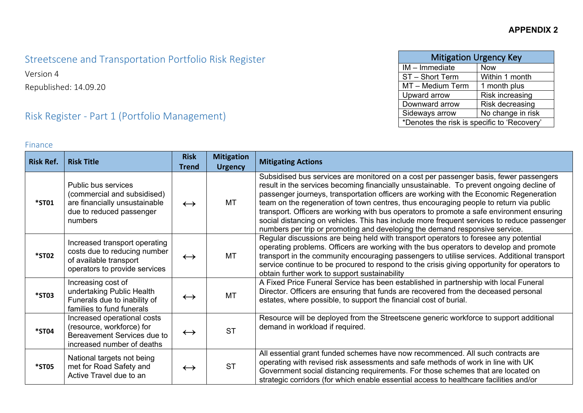| <b>Mitigation Urgency Key</b>               |                        |  |  |  |  |  |
|---------------------------------------------|------------------------|--|--|--|--|--|
| $IM$ – Immediate                            | <b>Now</b>             |  |  |  |  |  |
| ST - Short Term                             | Within 1 month         |  |  |  |  |  |
| MT - Medium Term                            | 1 month plus           |  |  |  |  |  |
| Upward arrow                                | <b>Risk increasing</b> |  |  |  |  |  |
| Downward arrow                              | Risk decreasing        |  |  |  |  |  |
| Sideways arrow                              | No change in risk      |  |  |  |  |  |
| *Denotes the risk is specific to 'Recovery' |                        |  |  |  |  |  |

## Streetscene and Transportation Portfolio Risk Register

Version 4

Republished: 14.09.20

# Risk Register - Part 1 (Portfolio Management)

#### Finance

| <b>Risk Ref.</b> | <b>Risk Title</b>                                                                                                          | <b>Risk</b>       | <b>Mitigation</b> | <b>Mitigating Actions</b>                                                                                                                                                                                                                                                                                                                                                                                                                                                                                                                                                                                                                       |
|------------------|----------------------------------------------------------------------------------------------------------------------------|-------------------|-------------------|-------------------------------------------------------------------------------------------------------------------------------------------------------------------------------------------------------------------------------------------------------------------------------------------------------------------------------------------------------------------------------------------------------------------------------------------------------------------------------------------------------------------------------------------------------------------------------------------------------------------------------------------------|
|                  |                                                                                                                            | <b>Trend</b>      | <b>Urgency</b>    |                                                                                                                                                                                                                                                                                                                                                                                                                                                                                                                                                                                                                                                 |
| <b>*ST01</b>     | Public bus services<br>(commercial and subsidised)<br>are financially unsustainable<br>due to reduced passenger<br>numbers | $\leftrightarrow$ | MT                | Subsidised bus services are monitored on a cost per passenger basis, fewer passengers<br>result in the services becoming financially unsustainable. To prevent ongoing decline of<br>passenger journeys, transportation officers are working with the Economic Regeneration<br>team on the regeneration of town centres, thus encouraging people to return via public<br>transport. Officers are working with bus operators to promote a safe environment ensuring<br>social distancing on vehicles. This has include more frequent services to reduce passenger<br>numbers per trip or promoting and developing the demand responsive service. |
| <b>*ST02</b>     | Increased transport operating<br>costs due to reducing number<br>of available transport<br>operators to provide services   | $\leftrightarrow$ | MT                | Regular discussions are being held with transport operators to foresee any potential<br>operating problems. Officers are working with the bus operators to develop and promote<br>transport in the community encouraging passengers to utilise services. Additional transport<br>service continue to be procured to respond to the crisis giving opportunity for operators to<br>obtain further work to support sustainability                                                                                                                                                                                                                  |
| <b>*ST03</b>     | Increasing cost of<br>undertaking Public Health<br>Funerals due to inability of<br>families to fund funerals               | $\leftrightarrow$ | <b>MT</b>         | A Fixed Price Funeral Service has been established in partnership with local Funeral<br>Director. Officers are ensuring that funds are recovered from the deceased personal<br>estates, where possible, to support the financial cost of burial.                                                                                                                                                                                                                                                                                                                                                                                                |
| *ST04            | Increased operational costs<br>(resource, workforce) for<br>Bereavement Services due to<br>increased number of deaths      | $\leftrightarrow$ | <b>ST</b>         | Resource will be deployed from the Streetscene generic workforce to support additional<br>demand in workload if required.                                                                                                                                                                                                                                                                                                                                                                                                                                                                                                                       |
| <b>*ST05</b>     | National targets not being<br>met for Road Safety and<br>Active Travel due to an                                           | $\leftrightarrow$ | <b>ST</b>         | All essential grant funded schemes have now recommenced. All such contracts are<br>operating with revised risk assessments and safe methods of work in line with UK<br>Government social distancing requirements. For those schemes that are located on<br>strategic corridors (for which enable essential access to healthcare facilities and/or                                                                                                                                                                                                                                                                                               |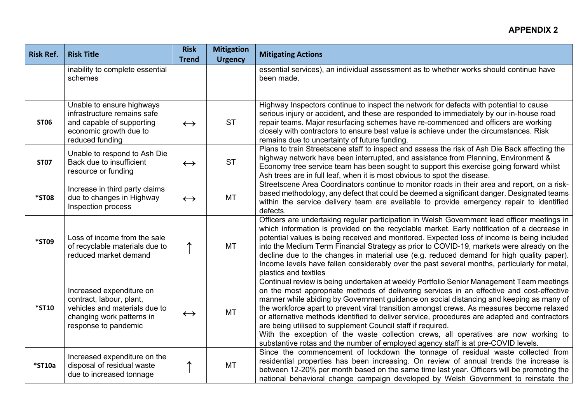#### **APPENDIX 2**

| <b>Risk Ref.</b> | <b>Risk Title</b>                                                                                                                          | <b>Risk</b><br><b>Trend</b> | <b>Mitigation</b><br><b>Urgency</b> | <b>Mitigating Actions</b>                                                                                                                                                                                                                                                                                                                                                                                                                                                                                                                                                                                                                                                                                                |
|------------------|--------------------------------------------------------------------------------------------------------------------------------------------|-----------------------------|-------------------------------------|--------------------------------------------------------------------------------------------------------------------------------------------------------------------------------------------------------------------------------------------------------------------------------------------------------------------------------------------------------------------------------------------------------------------------------------------------------------------------------------------------------------------------------------------------------------------------------------------------------------------------------------------------------------------------------------------------------------------------|
|                  | inability to complete essential<br>schemes                                                                                                 |                             |                                     | essential services), an individual assessment as to whether works should continue have<br>been made.                                                                                                                                                                                                                                                                                                                                                                                                                                                                                                                                                                                                                     |
| <b>ST06</b>      | Unable to ensure highways<br>infrastructure remains safe<br>and capable of supporting<br>economic growth due to<br>reduced funding         | $\leftrightarrow$           | <b>ST</b>                           | Highway Inspectors continue to inspect the network for defects with potential to cause<br>serious injury or accident, and these are responded to immediately by our in-house road<br>repair teams. Major resurfacing schemes have re-commenced and officers are working<br>closely with contractors to ensure best value is achieve under the circumstances. Risk<br>remains due to uncertainty of future funding.                                                                                                                                                                                                                                                                                                       |
| <b>ST07</b>      | Unable to respond to Ash Die<br>Back due to insufficient<br>resource or funding                                                            | $\leftrightarrow$           | <b>ST</b>                           | Plans to train Streetscene staff to inspect and assess the risk of Ash Die Back affecting the<br>highway network have been interrupted, and assistance from Planning, Environment &<br>Economy tree service team has been sought to support this exercise going forward whilst<br>Ash trees are in full leaf, when it is most obvious to spot the disease.                                                                                                                                                                                                                                                                                                                                                               |
| <b>*ST08</b>     | Increase in third party claims<br>due to changes in Highway<br>Inspection process                                                          | $\leftrightarrow$           | <b>MT</b>                           | Streetscene Area Coordinators continue to monitor roads in their area and report, on a risk-<br>based methodology, any defect that could be deemed a significant danger. Designated teams<br>within the service delivery team are available to provide emergency repair to identified<br>defects.                                                                                                                                                                                                                                                                                                                                                                                                                        |
| *ST09            | Loss of income from the sale<br>of recyclable materials due to<br>reduced market demand                                                    | ↑                           | MT                                  | Officers are undertaking regular participation in Welsh Government lead officer meetings in<br>which information is provided on the recyclable market. Early notification of a decrease in<br>potential values is being received and monitored. Expected loss of income is being included<br>into the Medium Term Financial Strategy as prior to COVID-19, markets were already on the<br>decline due to the changes in material use (e.g. reduced demand for high quality paper).<br>Income levels have fallen considerably over the past several months, particularly for metal,<br>plastics and textiles                                                                                                              |
| <b>*ST10</b>     | Increased expenditure on<br>contract, labour, plant,<br>vehicles and materials due to<br>changing work patterns in<br>response to pandemic | $\leftrightarrow$           | <b>MT</b>                           | Continual review is being undertaken at weekly Portfolio Senior Management Team meetings<br>on the most appropriate methods of delivering services in an effective and cost-effective<br>manner while abiding by Government guidance on social distancing and keeping as many of<br>the workforce apart to prevent viral transition amongst crews. As measures become relaxed<br>or alternative methods identified to deliver service, procedures are adapted and contractors<br>are being utilised to supplement Council staff if required.<br>With the exception of the waste collection crews, all operatives are now working to<br>substantive rotas and the number of employed agency staff is at pre-COVID levels. |
| *ST10a           | Increased expenditure on the<br>disposal of residual waste<br>due to increased tonnage                                                     | ↑                           | <b>MT</b>                           | Since the commencement of lockdown the tonnage of residual waste collected from<br>residential properties has been increasing. On review of annual trends the increase is<br>between 12-20% per month based on the same time last year. Officers will be promoting the<br>national behavioral change campaign developed by Welsh Government to reinstate the                                                                                                                                                                                                                                                                                                                                                             |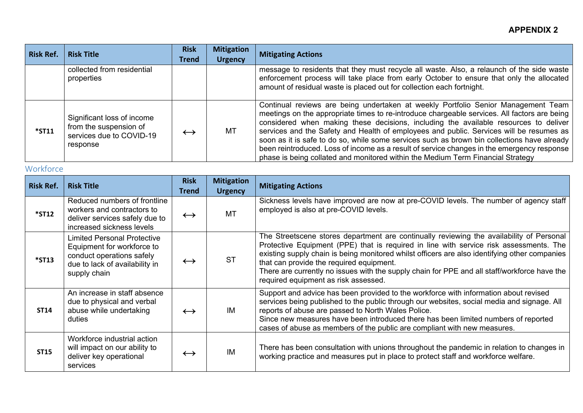| <b>Risk Ref.</b> | <b>Risk Title</b>                                                                            | <b>Risk</b><br><b>Trend</b> | <b>Mitigation</b><br><b>Urgency</b> | <b>Mitigating Actions</b>                                                                                                                                                                                                                                                                                                                                                                                                                                                                                                                                                                                                                            |
|------------------|----------------------------------------------------------------------------------------------|-----------------------------|-------------------------------------|------------------------------------------------------------------------------------------------------------------------------------------------------------------------------------------------------------------------------------------------------------------------------------------------------------------------------------------------------------------------------------------------------------------------------------------------------------------------------------------------------------------------------------------------------------------------------------------------------------------------------------------------------|
|                  | collected from residential<br>properties                                                     |                             |                                     | message to residents that they must recycle all waste. Also, a relaunch of the side waste<br>enforcement process will take place from early October to ensure that only the allocated<br>amount of residual waste is placed out for collection each fortnight.                                                                                                                                                                                                                                                                                                                                                                                       |
| $*$ ST11         | Significant loss of income<br>from the suspension of<br>services due to COVID-19<br>response | $\leftrightarrow$           | MT                                  | Continual reviews are being undertaken at weekly Portfolio Senior Management Team<br>meetings on the appropriate times to re-introduce chargeable services. All factors are being<br>considered when making these decisions, including the available resources to deliver<br>services and the Safety and Health of employees and public. Services will be resumes as<br>soon as it is safe to do so, while some services such as brown bin collections have already<br>been reintroduced. Loss of income as a result of service changes in the emergency response<br>phase is being collated and monitored within the Medium Term Financial Strategy |

### **Workforce**

| <b>Risk Ref.</b> | <b>Risk Title</b>                                                                                                                               | <b>Risk</b><br><b>Trend</b> | <b>Mitigation</b><br><b>Urgency</b> | <b>Mitigating Actions</b>                                                                                                                                                                                                                                                                                                                                                                                                                                               |
|------------------|-------------------------------------------------------------------------------------------------------------------------------------------------|-----------------------------|-------------------------------------|-------------------------------------------------------------------------------------------------------------------------------------------------------------------------------------------------------------------------------------------------------------------------------------------------------------------------------------------------------------------------------------------------------------------------------------------------------------------------|
| $*$ ST12         | Reduced numbers of frontline<br>workers and contractors to<br>deliver services safely due to<br>increased sickness levels                       | $\leftrightarrow$           | <b>MT</b>                           | Sickness levels have improved are now at pre-COVID levels. The number of agency staff<br>employed is also at pre-COVID levels.                                                                                                                                                                                                                                                                                                                                          |
| $*$ ST13         | <b>Limited Personal Protective</b><br>Equipment for workforce to<br>conduct operations safely<br>due to lack of availability in<br>supply chain | $\leftrightarrow$           | <b>ST</b>                           | The Streetscene stores department are continually reviewing the availability of Personal<br>Protective Equipment (PPE) that is required in line with service risk assessments. The<br>existing supply chain is being monitored whilst officers are also identifying other companies<br>that can provide the required equipment.<br>There are currently no issues with the supply chain for PPE and all staff/workforce have the<br>required equipment as risk assessed. |
| <b>ST14</b>      | An increase in staff absence<br>due to physical and verbal<br>abuse while undertaking<br>duties                                                 | $\leftrightarrow$           | IM                                  | Support and advice has been provided to the workforce with information about revised<br>services being published to the public through our websites, social media and signage. All<br>reports of abuse are passed to North Wales Police.<br>Since new measures have been introduced there has been limited numbers of reported<br>cases of abuse as members of the public are compliant with new measures.                                                              |
| <b>ST15</b>      | Workforce industrial action<br>will impact on our ability to<br>deliver key operational<br>services                                             | $\leftrightarrow$           | IM                                  | There has been consultation with unions throughout the pandemic in relation to changes in<br>working practice and measures put in place to protect staff and workforce welfare.                                                                                                                                                                                                                                                                                         |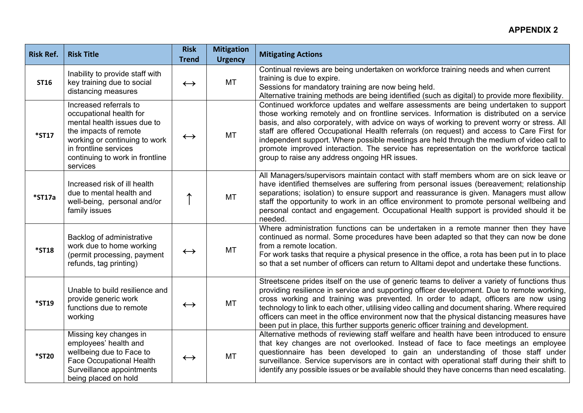#### **APPENDIX 2**

| <b>Risk Ref.</b> | <b>Risk Title</b>                                                                                                                                                                                                  | <b>Risk</b><br><b>Trend</b> | <b>Mitigation</b><br><b>Urgency</b> | <b>Mitigating Actions</b>                                                                                                                                                                                                                                                                                                                                                                                                                                                                                                                                                                                            |
|------------------|--------------------------------------------------------------------------------------------------------------------------------------------------------------------------------------------------------------------|-----------------------------|-------------------------------------|----------------------------------------------------------------------------------------------------------------------------------------------------------------------------------------------------------------------------------------------------------------------------------------------------------------------------------------------------------------------------------------------------------------------------------------------------------------------------------------------------------------------------------------------------------------------------------------------------------------------|
| <b>ST16</b>      | Inability to provide staff with<br>key training due to social<br>distancing measures                                                                                                                               | $\leftrightarrow$           | <b>MT</b>                           | Continual reviews are being undertaken on workforce training needs and when current<br>training is due to expire.<br>Sessions for mandatory training are now being held.<br>Alternative training methods are being identified (such as digital) to provide more flexibility.                                                                                                                                                                                                                                                                                                                                         |
| <b>*ST17</b>     | Increased referrals to<br>occupational health for<br>mental health issues due to<br>the impacts of remote<br>working or continuing to work<br>in frontline services<br>continuing to work in frontline<br>services | $\leftrightarrow$           | MT                                  | Continued workforce updates and welfare assessments are being undertaken to support<br>those working remotely and on frontline services. Information is distributed on a service<br>basis, and also corporately, with advice on ways of working to prevent worry or stress. All<br>staff are offered Occupational Health referrals (on request) and access to Care First for<br>independent support. Where possible meetings are held through the medium of video call to<br>promote improved interaction. The service has representation on the workforce tactical<br>group to raise any address ongoing HR issues. |
| *ST17a           | Increased risk of ill health<br>due to mental health and<br>well-being, personal and/or<br>family issues                                                                                                           | ↑                           | <b>MT</b>                           | All Managers/supervisors maintain contact with staff members whom are on sick leave or<br>have identified themselves are suffering from personal issues (bereavement; relationship<br>separations; isolation) to ensure support and reassurance is given. Managers must allow<br>staff the opportunity to work in an office environment to promote personal wellbeing and<br>personal contact and engagement. Occupational Health support is provided should it be<br>needed.                                                                                                                                        |
| <b>*ST18</b>     | Backlog of administrative<br>work due to home working<br>(permit processing, payment<br>refunds, tag printing)                                                                                                     | $\leftrightarrow$           | <b>MT</b>                           | Where administration functions can be undertaken in a remote manner then they have<br>continued as normal. Some procedures have been adapted so that they can now be done<br>from a remote location.<br>For work tasks that require a physical presence in the office, a rota has been put in to place<br>so that a set number of officers can return to Alltami depot and undertake these functions.                                                                                                                                                                                                                |
| <b>*ST19</b>     | Unable to build resilience and<br>provide generic work<br>functions due to remote<br>working                                                                                                                       | $\leftrightarrow$           | MT                                  | Streetscene prides itself on the use of generic teams to deliver a variety of functions thus<br>providing resilience in service and supporting officer development. Due to remote working,<br>cross working and training was prevented. In order to adapt, officers are now using<br>technology to link to each other, utilising video calling and document sharing. Where required<br>officers can meet in the office environment now that the physical distancing measures have<br>been put in place, this further supports generic officer training and development.                                              |
| <b>*ST20</b>     | Missing key changes in<br>employees' health and<br>wellbeing due to Face to<br><b>Face Occupational Health</b><br>Surveillance appointments<br>being placed on hold                                                | $\leftrightarrow$           | MT                                  | Alternative methods of reviewing staff welfare and health have been introduced to ensure<br>that key changes are not overlooked. Instead of face to face meetings an employee<br>questionnaire has been developed to gain an understanding of those staff under<br>surveillance. Service supervisors are in contact with operational staff during their shift to<br>identify any possible issues or be available should they have concerns than need escalating.                                                                                                                                                     |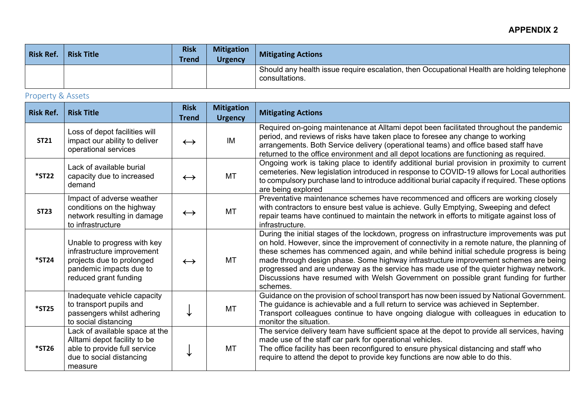#### **APPENDIX 2**

| <b>Risk Ref.</b> | <b>Risk Title</b> | <b>Risk</b><br><b>Trend</b> | <b>Mitigation</b><br><b>Urgency</b> | <b>Mitigating Actions</b>                                                                                    |
|------------------|-------------------|-----------------------------|-------------------------------------|--------------------------------------------------------------------------------------------------------------|
|                  |                   |                             |                                     | Should any health issue require escalation, then Occupational Health are holding telephone<br>consultations. |

### Property & Assets

| <b>Risk Ref.</b> | <b>Risk Title</b>                                                                                                                          | <b>Risk</b><br><b>Trend</b> | <b>Mitigation</b><br><b>Urgency</b> | <b>Mitigating Actions</b>                                                                                                                                                                                                                                                                                                                                                                                                                                                                                                                                                  |
|------------------|--------------------------------------------------------------------------------------------------------------------------------------------|-----------------------------|-------------------------------------|----------------------------------------------------------------------------------------------------------------------------------------------------------------------------------------------------------------------------------------------------------------------------------------------------------------------------------------------------------------------------------------------------------------------------------------------------------------------------------------------------------------------------------------------------------------------------|
| <b>ST21</b>      | Loss of depot facilities will<br>impact our ability to deliver<br>operational services                                                     | $\leftrightarrow$           | IM                                  | Required on-going maintenance at Alltami depot been facilitated throughout the pandemic<br>period, and reviews of risks have taken place to foresee any change to working<br>arrangements. Both Service delivery (operational teams) and office based staff have<br>returned to the office environment and all depot locations are functioning as required.                                                                                                                                                                                                                |
| $*$ ST22         | Lack of available burial<br>capacity due to increased<br>demand                                                                            | $\leftrightarrow$           | <b>MT</b>                           | Ongoing work is taking place to identify additional burial provision in proximity to current<br>cemeteries. New legislation introduced in response to COVID-19 allows for Local authorities<br>to compulsory purchase land to introduce additional burial capacity if required. These options<br>are being explored                                                                                                                                                                                                                                                        |
| <b>ST23</b>      | Impact of adverse weather<br>conditions on the highway<br>network resulting in damage<br>to infrastructure                                 | $\leftrightarrow$           | <b>MT</b>                           | Preventative maintenance schemes have recommenced and officers are working closely<br>with contractors to ensure best value is achieve. Gully Emptying, Sweeping and defect<br>repair teams have continued to maintain the network in efforts to mitigate against loss of<br>infrastructure.                                                                                                                                                                                                                                                                               |
| *ST24            | Unable to progress with key<br>infrastructure improvement<br>projects due to prolonged<br>pandemic impacts due to<br>reduced grant funding | $\leftrightarrow$           | <b>MT</b>                           | During the initial stages of the lockdown, progress on infrastructure improvements was put<br>on hold. However, since the improvement of connectivity in a remote nature, the planning of<br>these schemes has commenced again, and while behind initial schedule progress is being<br>made through design phase. Some highway infrastructure improvement schemes are being<br>progressed and are underway as the service has made use of the quieter highway network.<br>Discussions have resumed with Welsh Government on possible grant funding for further<br>schemes. |
| <b>*ST25</b>     | Inadequate vehicle capacity<br>to transport pupils and<br>passengers whilst adhering<br>to social distancing                               |                             | MT                                  | Guidance on the provision of school transport has now been issued by National Government.<br>The guidance is achievable and a full return to service was achieved in September.<br>Transport colleagues continue to have ongoing dialogue with colleagues in education to<br>monitor the situation.                                                                                                                                                                                                                                                                        |
| <b>*ST26</b>     | Lack of available space at the<br>Alltami depot facility to be<br>able to provide full service<br>due to social distancing<br>measure      |                             | MT                                  | The service delivery team have sufficient space at the depot to provide all services, having<br>made use of the staff car park for operational vehicles.<br>The office facility has been reconfigured to ensure physical distancing and staff who<br>require to attend the depot to provide key functions are now able to do this.                                                                                                                                                                                                                                         |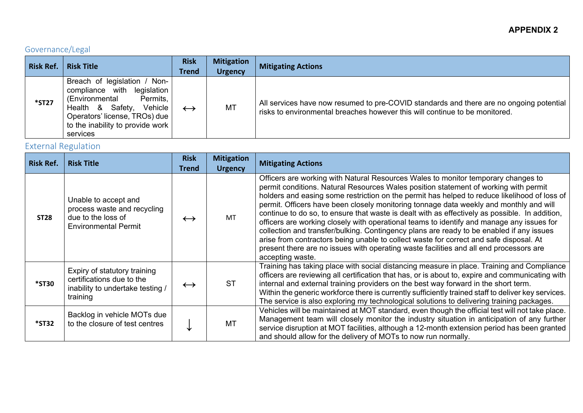# Governance/Legal

| <b>Risk Ref.</b> | <b>Risk Title</b>                                                                                                                                                                                            | <b>Risk</b><br><b>Trend</b> | <b>Mitigation</b><br><b>Urgency</b> | <b>Mitigating Actions</b>                                                                                                                                              |
|------------------|--------------------------------------------------------------------------------------------------------------------------------------------------------------------------------------------------------------|-----------------------------|-------------------------------------|------------------------------------------------------------------------------------------------------------------------------------------------------------------------|
| <b>*ST27</b>     | Breach of legislation / Non-<br>legislation<br>compliance with<br>(Environmental<br>Permits,<br>Health & Safety,<br>Vehicle<br>Operators' license, TROs) due<br>to the inability to provide work<br>services | $\leftrightarrow$           | MT                                  | All services have now resumed to pre-COVID standards and there are no ongoing potential<br>risks to environmental breaches however this will continue to be monitored. |

## External Regulation

| <b>Risk Ref.</b> | <b>Risk Title</b>                                                                                         | <b>Risk</b><br><b>Trend</b> | <b>Mitigation</b><br><b>Urgency</b> | <b>Mitigating Actions</b>                                                                                                                                                                                                                                                                                                                                                                                                                                                                                                                                                                                                                                                                                                                                                                                                                                              |
|------------------|-----------------------------------------------------------------------------------------------------------|-----------------------------|-------------------------------------|------------------------------------------------------------------------------------------------------------------------------------------------------------------------------------------------------------------------------------------------------------------------------------------------------------------------------------------------------------------------------------------------------------------------------------------------------------------------------------------------------------------------------------------------------------------------------------------------------------------------------------------------------------------------------------------------------------------------------------------------------------------------------------------------------------------------------------------------------------------------|
| <b>ST28</b>      | Unable to accept and<br>process waste and recycling<br>due to the loss of<br><b>Environmental Permit</b>  | $\leftrightarrow$           | MT                                  | Officers are working with Natural Resources Wales to monitor temporary changes to<br>permit conditions. Natural Resources Wales position statement of working with permit<br>holders and easing some restriction on the permit has helped to reduce likelihood of loss of<br>permit. Officers have been closely monitoring tonnage data weekly and monthly and will<br>continue to do so, to ensure that waste is dealt with as effectively as possible. In addition,<br>officers are working closely with operational teams to identify and manage any issues for<br>collection and transfer/bulking. Contingency plans are ready to be enabled if any issues<br>arise from contractors being unable to collect waste for correct and safe disposal. At<br>present there are no issues with operating waste facilities and all end processors are<br>accepting waste. |
| <b>*ST30</b>     | Expiry of statutory training<br>certifications due to the<br>inability to undertake testing /<br>training | $\leftrightarrow$           | SТ                                  | Training has taking place with social distancing measure in place. Training and Compliance<br>officers are reviewing all certification that has, or is about to, expire and communicating with<br>internal and external training providers on the best way forward in the short term.<br>Within the generic workforce there is currently sufficiently trained staff to deliver key services.<br>The service is also exploring my technological solutions to delivering training packages.                                                                                                                                                                                                                                                                                                                                                                              |
| $*$ ST32         | Backlog in vehicle MOTs due<br>to the closure of test centres                                             | ✔                           | МT                                  | Vehicles will be maintained at MOT standard, even though the official test will not take place.<br>Management team will closely monitor the industry situation in anticipation of any further<br>service disruption at MOT facilities, although a 12-month extension period has been granted<br>and should allow for the delivery of MOTs to now run normally.                                                                                                                                                                                                                                                                                                                                                                                                                                                                                                         |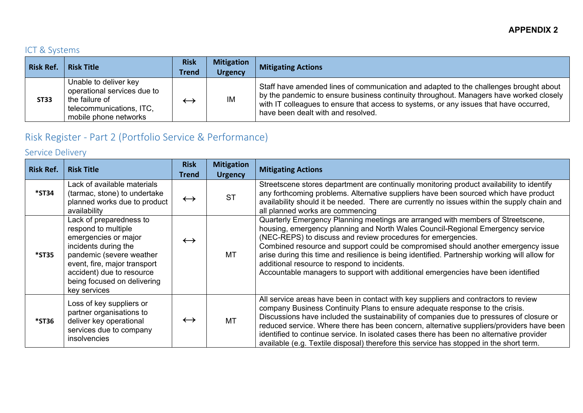### ICT & Systems

| <b>Risk Ref.</b> | <b>Risk Title</b>                                                                                                           | <b>Risk</b><br><b>Trend</b>   | <b>Mitigation</b><br><b>Urgency</b> | <b>Mitigating Actions</b>                                                                                                                                                                                                                                                                                       |
|------------------|-----------------------------------------------------------------------------------------------------------------------------|-------------------------------|-------------------------------------|-----------------------------------------------------------------------------------------------------------------------------------------------------------------------------------------------------------------------------------------------------------------------------------------------------------------|
| <b>ST33</b>      | Unable to deliver key<br>operational services due to<br>the failure of<br>telecommunications, ITC,<br>mobile phone networks | $\overleftarrow{\phantom{a}}$ | IM                                  | Staff have amended lines of communication and adapted to the challenges brought about<br>by the pandemic to ensure business continuity throughout. Managers have worked closely<br>with IT colleagues to ensure that access to systems, or any issues that have occurred,<br>have been dealt with and resolved. |

# Risk Register - Part 2 (Portfolio Service & Performance)

## Service Delivery

| <b>Risk Ref.</b> | <b>Risk Title</b>                                                                                                                                                                                                                      | <b>Risk</b><br><b>Trend</b> | <b>Mitigation</b><br><b>Urgency</b> | <b>Mitigating Actions</b>                                                                                                                                                                                                                                                                                                                                                                                                                                                                                                                                   |
|------------------|----------------------------------------------------------------------------------------------------------------------------------------------------------------------------------------------------------------------------------------|-----------------------------|-------------------------------------|-------------------------------------------------------------------------------------------------------------------------------------------------------------------------------------------------------------------------------------------------------------------------------------------------------------------------------------------------------------------------------------------------------------------------------------------------------------------------------------------------------------------------------------------------------------|
| *ST34            | Lack of available materials<br>(tarmac, stone) to undertake<br>planned works due to product<br>availability                                                                                                                            | $\leftrightarrow$           | <b>ST</b>                           | Streetscene stores department are continually monitoring product availability to identify<br>any forthcoming problems. Alternative suppliers have been sourced which have product<br>availability should it be needed. There are currently no issues within the supply chain and<br>all planned works are commencing                                                                                                                                                                                                                                        |
| <b>*ST35</b>     | Lack of preparedness to<br>respond to multiple<br>emergencies or major<br>incidents during the<br>pandemic (severe weather<br>event, fire, major transport<br>accident) due to resource<br>being focused on delivering<br>key services | $\leftrightarrow$           | MT                                  | Quarterly Emergency Planning meetings are arranged with members of Streetscene,<br>housing, emergency planning and North Wales Council-Regional Emergency service<br>(NEC-REPS) to discuss and review procedures for emergencies.<br>Combined resource and support could be compromised should another emergency issue<br>arise during this time and resilience is being identified. Partnership working will allow for<br>additional resource to respond to incidents.<br>Accountable managers to support with additional emergencies have been identified |
| <b>*ST36</b>     | Loss of key suppliers or<br>partner organisations to<br>deliver key operational<br>services due to company<br>insolvencies                                                                                                             | $\leftrightarrow$           | MT                                  | All service areas have been in contact with key suppliers and contractors to review<br>company Business Continuity Plans to ensure adequate response to the crisis.<br>Discussions have included the sustainability of companies due to pressures of closure or<br>reduced service. Where there has been concern, alternative suppliers/providers have been<br>identified to continue service. In isolated cases there has been no alternative provider<br>available (e.g. Textile disposal) therefore this service has stopped in the short term.          |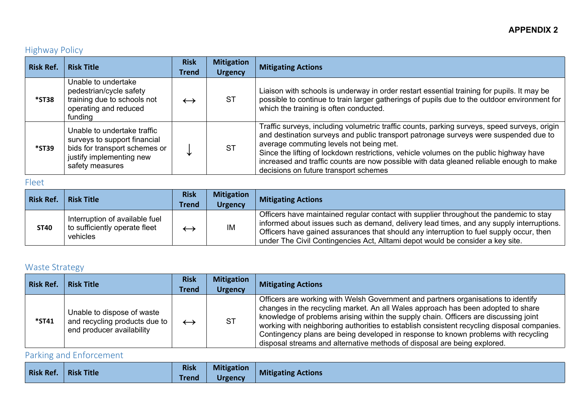## Highway Policy

| <b>Risk Ref.</b> | <b>Risk Title</b>                                                                                                                           | <b>Risk</b><br>Trend | <b>Mitigation</b><br><b>Urgency</b> | <b>Mitigating Actions</b>                                                                                                                                                                                                                                                                                                                                                                                                                                     |
|------------------|---------------------------------------------------------------------------------------------------------------------------------------------|----------------------|-------------------------------------|---------------------------------------------------------------------------------------------------------------------------------------------------------------------------------------------------------------------------------------------------------------------------------------------------------------------------------------------------------------------------------------------------------------------------------------------------------------|
| <b>*ST38</b>     | Unable to undertake<br>pedestrian/cycle safety<br>training due to schools not<br>operating and reduced<br>funding                           | $\leftrightarrow$    | <b>ST</b>                           | Liaison with schools is underway in order restart essential training for pupils. It may be<br>possible to continue to train larger gatherings of pupils due to the outdoor environment for<br>which the training is often conducted.                                                                                                                                                                                                                          |
| *ST39            | Unable to undertake traffic<br>surveys to support financial<br>bids for transport schemes or<br>justify implementing new<br>safety measures |                      | <b>ST</b>                           | Traffic surveys, including volumetric traffic counts, parking surveys, speed surveys, origin<br>and destination surveys and public transport patronage surveys were suspended due to<br>average commuting levels not being met.<br>Since the lifting of lockdown restrictions, vehicle volumes on the public highway have<br>increased and traffic counts are now possible with data gleaned reliable enough to make<br>decisions on future transport schemes |

### Fleet

| <b>Risk Ref.</b> | <b>Risk Title</b>                                                           | <b>Risk</b><br><b>Trend</b> | <b>Mitigation</b><br><b>Urgency</b> | <b>Mitigating Actions</b>                                                                                                                                                                                                                                                                                                                                       |
|------------------|-----------------------------------------------------------------------------|-----------------------------|-------------------------------------|-----------------------------------------------------------------------------------------------------------------------------------------------------------------------------------------------------------------------------------------------------------------------------------------------------------------------------------------------------------------|
| <b>ST40</b>      | Interruption of available fuel<br>to sufficiently operate fleet<br>vehicles |                             | IM                                  | Officers have maintained regular contact with supplier throughout the pandemic to stay<br>informed about issues such as demand, delivery lead times, and any supply interruptions.<br>Officers have gained assurances that should any interruption to fuel supply occur, then<br>under The Civil Contingencies Act, Alltami depot would be consider a key site. |

### Waste Strategy

| <b>Risk Ref.</b> | <b>Risk Title</b>                                                                        | <b>Risk</b>       | <b>Mitigation</b> | <b>Mitigating Actions</b>                                                                                                                                                                                                                                                                                                                                                                                                                                                                                                     |
|------------------|------------------------------------------------------------------------------------------|-------------------|-------------------|-------------------------------------------------------------------------------------------------------------------------------------------------------------------------------------------------------------------------------------------------------------------------------------------------------------------------------------------------------------------------------------------------------------------------------------------------------------------------------------------------------------------------------|
|                  |                                                                                          | <b>Trend</b>      | <b>Urgency</b>    |                                                                                                                                                                                                                                                                                                                                                                                                                                                                                                                               |
| *ST41            | Unable to dispose of waste<br>and recycling products due to<br>end producer availability | $\leftrightarrow$ | <b>ST</b>         | Officers are working with Welsh Government and partners organisations to identify<br>changes in the recycling market. An all Wales approach has been adopted to share<br>knowledge of problems arising within the supply chain. Officers are discussing joint<br>working with neighboring authorities to establish consistent recycling disposal companies.<br>Contingency plans are being developed in response to known problems with recycling<br>disposal streams and alternative methods of disposal are being explored. |

Parking and Enforcement

| <b>Risk Ref.</b> | <b>Risk Title</b> | <b>Risk</b> | <b>Mitigation</b> | <b>Mitigating Actions</b> |
|------------------|-------------------|-------------|-------------------|---------------------------|
|                  |                   | Trend       | <b>Urgency</b>    |                           |